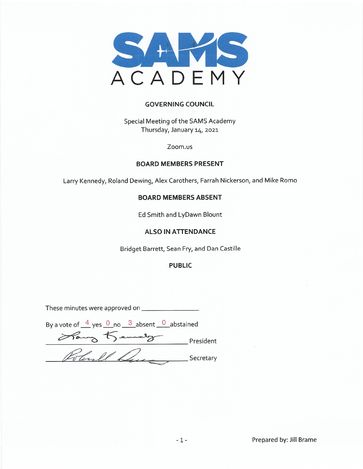

#### **GOVERNING COUNCIL**

Special Meeting of the SAMS Academy Thursday, January 14, 2021

Zoom.us

#### **BOARD MEMBERS PRESENT**

Larry Kennedy, Roland Dewing, Alex Carothers, Farrah Nickerson, and Mike Romo

#### **BOARD MEMBERS ABSENT**

Ed Smith and LyDawn Blount

#### **ALSO IN ATTENDANCE**

Bridget Barrett, Sean Fry, and Dan Castille

#### **PUBLIC**

These minutes were approved on \_\_\_\_\_\_\_\_\_\_\_\_

| By a vote of $\frac{4}{5}$ yes $\frac{0}{5}$ no $\frac{3}{5}$ absent $\frac{0}{5}$ abstained |           |
|----------------------------------------------------------------------------------------------|-----------|
| Hang Jemel                                                                                   | President |
| stanll.                                                                                      | Secretary |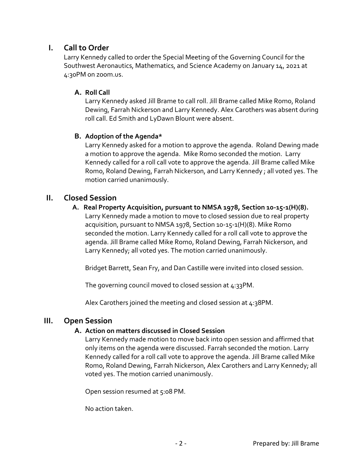# **I. Call to Order**

Larry Kennedy called to order the Special Meeting of the Governing Council for the Southwest Aeronautics, Mathematics, and Science Academy on January 14, 2021 at 4:30PM on zoom.us.

## **A. Roll Call**

Larry Kennedy asked Jill Brame to call roll. Jill Brame called Mike Romo, Roland Dewing, Farrah Nickerson and Larry Kennedy. Alex Carothers was absent during roll call. Ed Smith and LyDawn Blount were absent.

## **B. Adoption of the Agenda\***

Larry Kennedy asked for a motion to approve the agenda. Roland Dewing made a motion to approve the agenda. Mike Romo seconded the motion. Larry Kennedy called for a roll call vote to approve the agenda. Jill Brame called Mike Romo, Roland Dewing, Farrah Nickerson, and Larry Kennedy ; all voted yes. The motion carried unanimously.

# **II. Closed Session**

 **A. Real Property Acquisition, pursuant to NMSA 1978, Section 10-15-1(H)(8).**  Larry Kennedy made a motion to move to closed session due to real property acquisition, pursuant to NMSA 1978, Section 10-15-1(H)(8). Mike Romo seconded the motion. Larry Kennedy called for a roll call vote to approve the agenda. Jill Brame called Mike Romo, Roland Dewing, Farrah Nickerson, and Larry Kennedy; all voted yes. The motion carried unanimously.

Bridget Barrett, Sean Fry, and Dan Castille were invited into closed session.

The governing council moved to closed session at 4:33PM.

Alex Carothers joined the meeting and closed session at  $4:38PM$ .

## **III. Open Session**

## **A. Action on matters discussed in Closed Session**

Larry Kennedy made motion to move back into open session and affirmed that only items on the agenda were discussed. Farrah seconded the motion. Larry Kennedy called for a roll call vote to approve the agenda. Jill Brame called Mike Romo, Roland Dewing, Farrah Nickerson, Alex Carothers and Larry Kennedy; all voted yes. The motion carried unanimously.

Open session resumed at 5:08 PM.

No action taken.